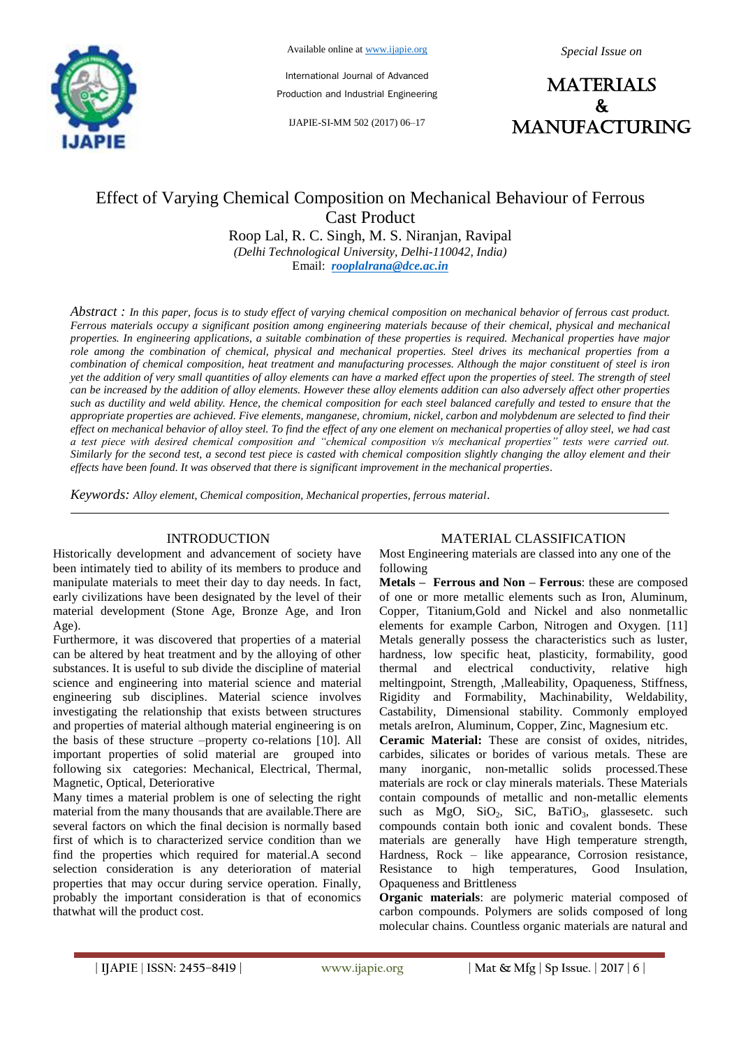

Available online at www.ijapie.org

*Special Issue on*

International Journal of Advanced Production and Industrial Engineering

IJAPIE-SI-MM 502 (2017) 06–17



# Effect of Varying Chemical Composition on Mechanical Behaviour of Ferrous Cast Product

Roop Lal, R. C. Singh, M. S. Niranjan, Ravipal *(Delhi Technological University, Delhi-110042, India)* Email: *rooplalrana@dce.ac.in*

*Abstract : In this paper, focus is to study effect of varying chemical composition on mechanical behavior of ferrous cast product. Ferrous materials occupy a significant position among engineering materials because of their chemical, physical and mechanical properties. In engineering applications, a suitable combination of these properties is required. Mechanical properties have major role among the combination of chemical, physical and mechanical properties. Steel drives its mechanical properties from a combination of chemical composition, heat treatment and manufacturing processes. Although the major constituent of steel is iron yet the addition of very small quantities of alloy elements can have a marked effect upon the properties of steel. The strength of steel can be increased by the addition of alloy elements. However these alloy elements addition can also adversely affect other properties such as ductility and weld ability. Hence, the chemical composition for each steel balanced carefully and tested to ensure that the appropriate properties are achieved. Five elements, manganese, chromium, nickel, carbon and molybdenum are selected to find their effect on mechanical behavior of alloy steel. To find the effect of any one element on mechanical properties of alloy steel, we had cast a test piece with desired chemical composition and "chemical composition v/s mechanical properties" tests were carried out. Similarly for the second test, a second test piece is casted with chemical composition slightly changing the alloy element and their effects have been found. It was observed that there is significant improvement in the mechanical properties.*

*Keywords: Alloy element, Chemical composition, Mechanical properties, ferrous material*.

## INTRODUCTION

Historically development and advancement of society have been intimately tied to ability of its members to produce and manipulate materials to meet their day to day needs. In fact, early civilizations have been designated by the level of their material development (Stone Age, Bronze Age, and Iron Age).

Furthermore, it was discovered that properties of a material can be altered by heat treatment and by the alloying of other substances. It is useful to sub divide the discipline of material science and engineering into material science and material engineering sub disciplines. Material science involves investigating the relationship that exists between structures and properties of material although material engineering is on the basis of these structure –property co-relations [10]. All important properties of solid material are grouped into following six categories: Mechanical, Electrical, Thermal, Magnetic, Optical, Deteriorative

Many times a material problem is one of selecting the right material from the many thousands that are available.There are several factors on which the final decision is normally based first of which is to characterized service condition than we find the properties which required for material.A second selection consideration is any deterioration of material properties that may occur during service operation. Finally, probably the important consideration is that of economics thatwhat will the product cost.

## MATERIAL CLASSIFICATION

Most Engineering materials are classed into any one of the following

**Metals – Ferrous and Non – Ferrous**: these are composed of one or more metallic elements such as Iron, Aluminum, Copper, Titanium,Gold and Nickel and also nonmetallic elements for example Carbon, Nitrogen and Oxygen. [11] Metals generally possess the characteristics such as luster, hardness, low specific heat, plasticity, formability, good thermal and electrical conductivity, relative high meltingpoint, Strength, ,Malleability, Opaqueness, Stiffness, Rigidity and Formability, Machinability, Weldability, Castability, Dimensional stability. Commonly employed metals areIron, Aluminum, Copper, Zinc, Magnesium etc.

**Ceramic Material:** These are consist of oxides, nitrides, carbides, silicates or borides of various metals. These are many inorganic, non-metallic solids processed.These materials are rock or clay minerals materials. These Materials contain compounds of metallic and non-metallic elements such as  $MgO$ ,  $SiO<sub>2</sub>$ ,  $SiC$ ,  $BaTiO<sub>3</sub>$ , glassesetc. such compounds contain both ionic and covalent bonds. These materials are generally have High temperature strength, Hardness, Rock – like appearance, Corrosion resistance, Resistance to high temperatures, Good Insulation, Opaqueness and Brittleness

**Organic materials**: are polymeric material composed of carbon compounds. Polymers are solids composed of long molecular chains. Countless organic materials are natural and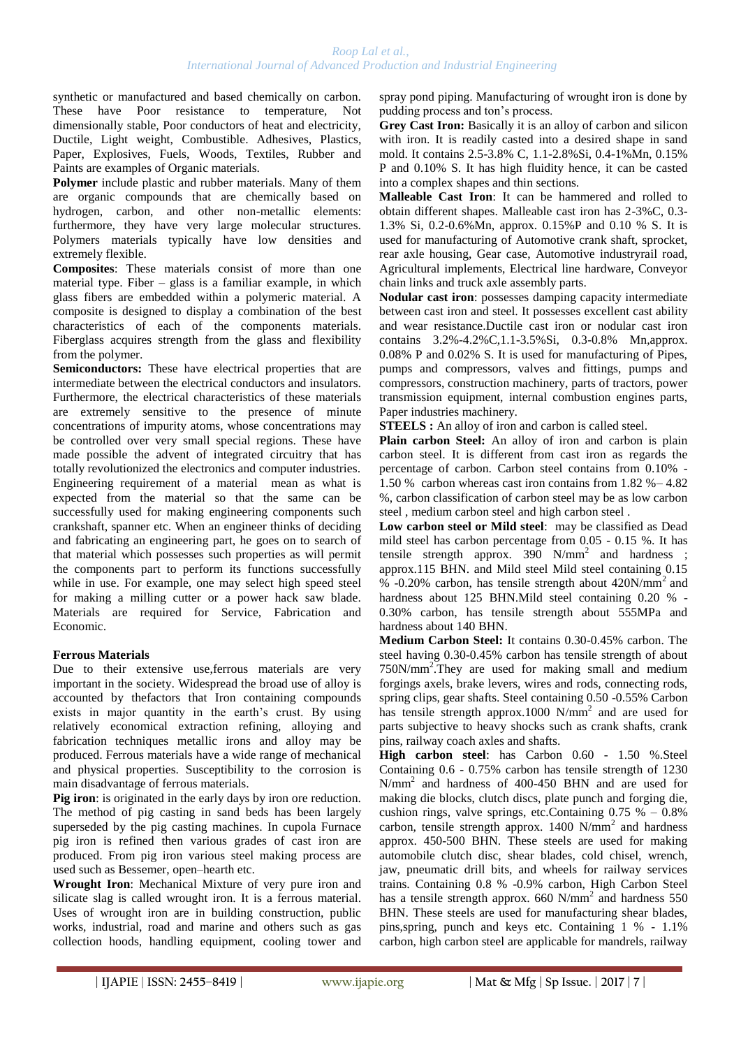synthetic or manufactured and based chemically on carbon. These have Poor resistance to temperature, Not dimensionally stable, Poor conductors of heat and electricity, Ductile, Light weight, Combustible. Adhesives, Plastics, Paper, Explosives, Fuels, Woods, Textiles, Rubber and Paints are examples of Organic materials.

**Polymer** include plastic and rubber materials. Many of them are organic compounds that are chemically based on hydrogen, carbon, and other non-metallic elements: furthermore, they have very large molecular structures. Polymers materials typically have low densities and extremely flexible.

**Composites**: These materials consist of more than one material type. Fiber – glass is a familiar example, in which glass fibers are embedded within a polymeric material. A composite is designed to display a combination of the best characteristics of each of the components materials. Fiberglass acquires strength from the glass and flexibility from the polymer.

**Semiconductors:** These have electrical properties that are intermediate between the electrical conductors and insulators. Furthermore, the electrical characteristics of these materials are extremely sensitive to the presence of minute concentrations of impurity atoms, whose concentrations may be controlled over very small special regions. These have made possible the advent of integrated circuitry that has totally revolutionized the electronics and computer industries. Engineering requirement of a material mean as what is expected from the material so that the same can be successfully used for making engineering components such crankshaft, spanner etc. When an engineer thinks of deciding and fabricating an engineering part, he goes on to search of that material which possesses such properties as will permit the components part to perform its functions successfully while in use. For example, one may select high speed steel for making a milling cutter or a power hack saw blade. Materials are required for Service, Fabrication and Economic.

#### **Ferrous Materials**

Due to their extensive use,ferrous materials are very important in the society. Widespread the broad use of alloy is accounted by thefactors that Iron containing compounds exists in major quantity in the earth's crust. By using relatively economical extraction refining, alloying and fabrication techniques metallic irons and alloy may be produced. Ferrous materials have a wide range of mechanical and physical properties. Susceptibility to the corrosion is main disadvantage of ferrous materials.

**Pig iron**: is originated in the early days by iron ore reduction. The method of pig casting in sand beds has been largely superseded by the pig casting machines. In cupola Furnace pig iron is refined then various grades of cast iron are produced. From pig iron various steel making process are used such as Bessemer, open–hearth etc.

**Wrought Iron**: Mechanical Mixture of very pure iron and silicate slag is called wrought iron. It is a ferrous material. Uses of wrought iron are in building construction, public works, industrial, road and marine and others such as gas collection hoods, handling equipment, cooling tower and spray pond piping. Manufacturing of wrought iron is done by pudding process and ton's process.

**Grey Cast Iron:** Basically it is an alloy of carbon and silicon with iron. It is readily casted into a desired shape in sand mold. It contains 2.5-3.8% C, 1.1-2.8%Si, 0.4-1%Mn, 0.15% P and 0.10% S. It has high fluidity hence, it can be casted into a complex shapes and thin sections.

**Malleable Cast Iron**: It can be hammered and rolled to obtain different shapes. Malleable cast iron has 2-3%C, 0.3- 1.3% Si, 0.2-0.6%Mn, approx. 0.15%P and 0.10 % S. It is used for manufacturing of Automotive crank shaft, sprocket, rear axle housing, Gear case, Automotive industryrail road, Agricultural implements, Electrical line hardware, Conveyor chain links and truck axle assembly parts.

**Nodular cast iron**: possesses damping capacity intermediate between cast iron and steel. It possesses excellent cast ability and wear resistance.Ductile cast iron or nodular cast iron contains 3.2%-4.2%C,1.1-3.5%Si, 0.3-0.8% Mn,approx. 0.08% P and 0.02% S. It is used for manufacturing of Pipes, pumps and compressors, valves and fittings, pumps and compressors, construction machinery, parts of tractors, power transmission equipment, internal combustion engines parts, Paper industries machinery.

**STEELS :** An alloy of iron and carbon is called steel.

**Plain carbon Steel:** An alloy of iron and carbon is plain carbon steel. It is different from cast iron as regards the percentage of carbon. Carbon steel contains from 0.10% - 1.50 % carbon whereas cast iron contains from 1.82 %– 4.82 %, carbon classification of carbon steel may be as low carbon steel , medium carbon steel and high carbon steel .

**Low carbon steel or Mild steel**: may be classified as Dead mild steel has carbon percentage from 0.05 - 0.15 %. It has tensile strength approx.  $390 \text{ N/mm}^2$  and hardness ; approx.115 BHN. and Mild steel Mild steel containing 0.15 % -0.20% carbon, has tensile strength about  $420N/mm^2$  and hardness about 125 BHN.Mild steel containing 0.20 % - 0.30% carbon, has tensile strength about 555MPa and hardness about 140 BHN.

**Medium Carbon Steel:** It contains 0.30-0.45% carbon. The steel having 0.30-0.45% carbon has tensile strength of about 750N/mm<sup>2</sup> .They are used for making small and medium forgings axels, brake levers, wires and rods, connecting rods, spring clips, gear shafts. Steel containing 0.50 -0.55% Carbon has tensile strength approx.1000 N/mm<sup>2</sup> and are used for parts subjective to heavy shocks such as crank shafts, crank pins, railway coach axles and shafts.

**High carbon steel**: has Carbon 0.60 - 1.50 %.Steel Containing 0.6 - 0.75% carbon has tensile strength of 1230 N/mm<sup>2</sup> and hardness of 400-450 BHN and are used for making die blocks, clutch discs, plate punch and forging die, cushion rings, valve springs, etc.Containing  $0.75 \% - 0.8\%$ carbon, tensile strength approx. 1400 N/mm<sup>2</sup> and hardness approx. 450-500 BHN. These steels are used for making automobile clutch disc, shear blades, cold chisel, wrench, jaw, pneumatic drill bits, and wheels for railway services trains. Containing 0.8 % -0.9% carbon, High Carbon Steel has a tensile strength approx. 660 N/mm<sup>2</sup> and hardness 550 BHN. These steels are used for manufacturing shear blades, pins,spring, punch and keys etc. Containing 1 % - 1.1% carbon, high carbon steel are applicable for mandrels, railway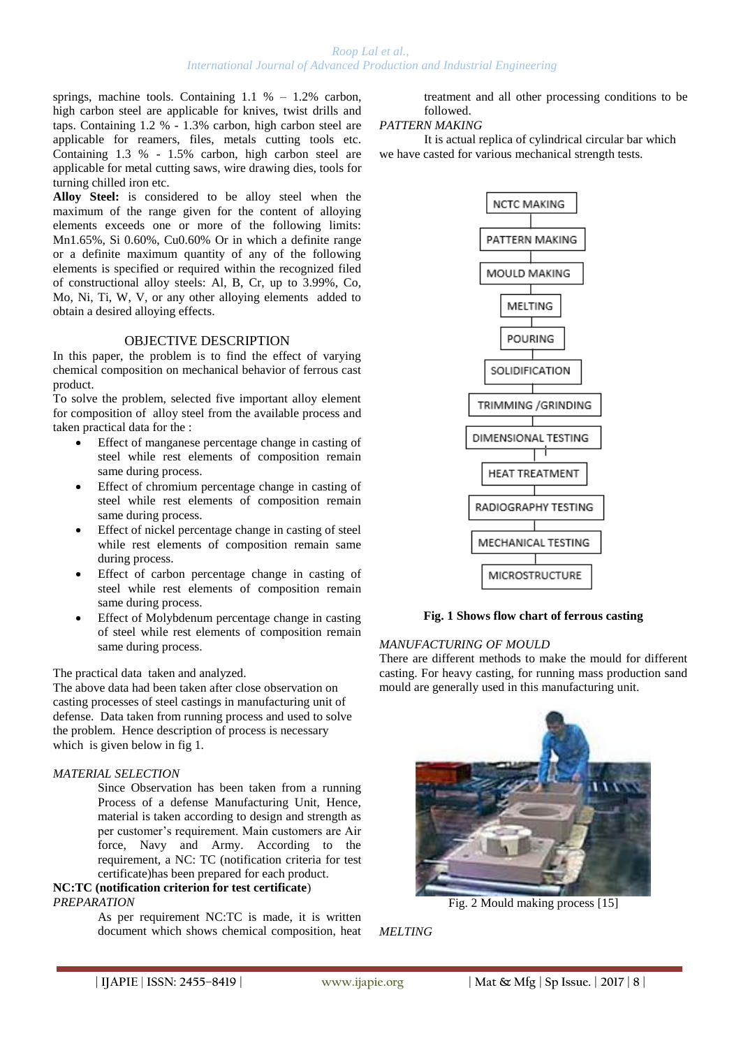springs, machine tools. Containing 1.1 % – 1.2% carbon, high carbon steel are applicable for knives, twist drills and taps. Containing 1.2 % - 1.3% carbon, high carbon steel are applicable for reamers, files, metals cutting tools etc. Containing 1.3 % - 1.5% carbon, high carbon steel are applicable for metal cutting saws, wire drawing dies, tools for turning chilled iron etc.

**Alloy Steel:** is considered to be alloy steel when the maximum of the range given for the content of alloying elements exceeds one or more of the following limits: Mn1.65%, Si 0.60%, Cu0.60% Or in which a definite range or a definite maximum quantity of any of the following elements is specified or required within the recognized filed of constructional alloy steels: Al, B, Cr, up to 3.99%, Co, Mo, Ni, Ti, W, V, or any other alloying elements added to obtain a desired alloying effects.

## OBJECTIVE DESCRIPTION

In this paper, the problem is to find the effect of varying chemical composition on mechanical behavior of ferrous cast product.

To solve the problem, selected five important alloy element for composition of alloy steel from the available process and taken practical data for the :

- Effect of manganese percentage change in casting of steel while rest elements of composition remain same during process.
- Effect of chromium percentage change in casting of steel while rest elements of composition remain same during process.
- Effect of nickel percentage change in casting of steel while rest elements of composition remain same during process.
- Effect of carbon percentage change in casting of steel while rest elements of composition remain same during process.
- Effect of Molybdenum percentage change in casting of steel while rest elements of composition remain same during process.

## The practical data taken and analyzed.

The above data had been taken after close observation on casting processes of steel castings in manufacturing unit of defense. Data taken from running process and used to solve the problem. Hence description of process is necessary which is given below in fig 1.

## *MATERIAL SELECTION*

Since Observation has been taken from a running Process of a defense Manufacturing Unit, Hence, material is taken according to design and strength as per customer's requirement. Main customers are Air force, Navy and Army. According to the requirement, a NC: TC (notification criteria for test certificate)has been prepared for each product.

#### **NC:TC (notification criterion for test certificate**) *PREPARATION*

As per requirement NC:TC is made, it is written document which shows chemical composition, heat

treatment and all other processing conditions to be followed.

## *PATTERN MAKING*

It is actual replica of cylindrical circular bar which we have casted for various mechanical strength tests.



## **Fig. 1 Shows flow chart of ferrous casting**

## *MANUFACTURING OF MOULD*

There are different methods to make the mould for different casting. For heavy casting, for running mass production sand mould are generally used in this manufacturing unit.



Fig. 2 Mould making process [15]

*MELTING*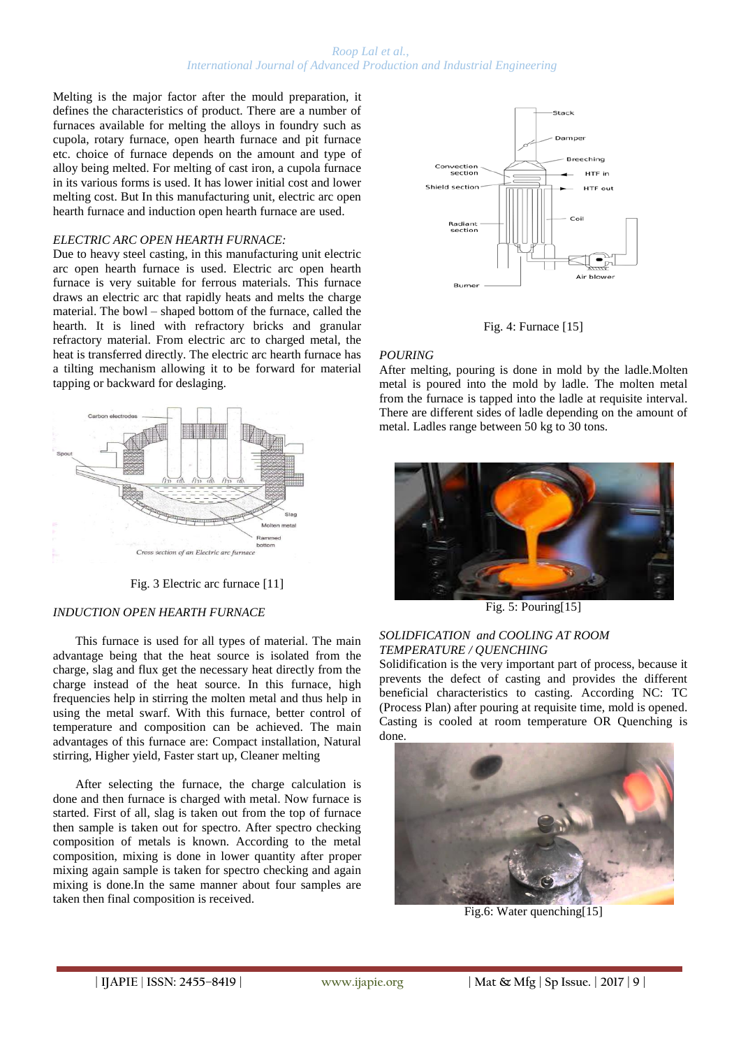Melting is the major factor after the mould preparation, it defines the characteristics of product. There are a number of furnaces available for melting the alloys in foundry such as cupola, rotary furnace, open hearth furnace and pit furnace etc. choice of furnace depends on the amount and type of alloy being melted. For melting of cast iron, a cupola furnace in its various forms is used. It has lower initial cost and lower melting cost. But In this manufacturing unit, electric arc open hearth furnace and induction open hearth furnace are used.

#### *ELECTRIC ARC OPEN HEARTH FURNACE:*

Due to heavy steel casting, in this manufacturing unit electric arc open hearth furnace is used. Electric arc open hearth furnace is very suitable for ferrous materials. This furnace draws an electric arc that rapidly heats and melts the charge material. The bowl – shaped bottom of the furnace, called the hearth. It is lined with refractory bricks and granular refractory material. From electric arc to charged metal, the heat is transferred directly. The electric arc hearth furnace has a tilting mechanism allowing it to be forward for material tapping or backward for deslaging.



Fig. 3 Electric arc furnace [11]

#### *INDUCTION OPEN HEARTH FURNACE*

This furnace is used for all types of material. The main advantage being that the heat source is isolated from the charge, slag and flux get the necessary heat directly from the charge instead of the heat source. In this furnace, high frequencies help in stirring the molten metal and thus help in using the metal swarf. With this furnace, better control of temperature and composition can be achieved. The main advantages of this furnace are: Compact installation, Natural stirring, Higher yield, Faster start up, Cleaner melting

After selecting the furnace, the charge calculation is done and then furnace is charged with metal. Now furnace is started. First of all, slag is taken out from the top of furnace then sample is taken out for spectro. After spectro checking composition of metals is known. According to the metal composition, mixing is done in lower quantity after proper mixing again sample is taken for spectro checking and again mixing is done.In the same manner about four samples are taken then final composition is received.



Fig. 4: Furnace [15]

## *POURING*

After melting, pouring is done in mold by the ladle.Molten metal is poured into the mold by ladle. The molten metal from the furnace is tapped into the ladle at requisite interval. There are different sides of ladle depending on the amount of metal. Ladles range between 50 kg to 30 tons.



Fig. 5: Pouring[15]

## *SOLIDFICATION and COOLING AT ROOM TEMPERATURE / QUENCHING*

Solidification is the very important part of process, because it prevents the defect of casting and provides the different beneficial characteristics to casting. According NC: TC (Process Plan) after pouring at requisite time, mold is opened. Casting is cooled at room temperature OR Quenching is done.



Fig.6: Water quenching[15]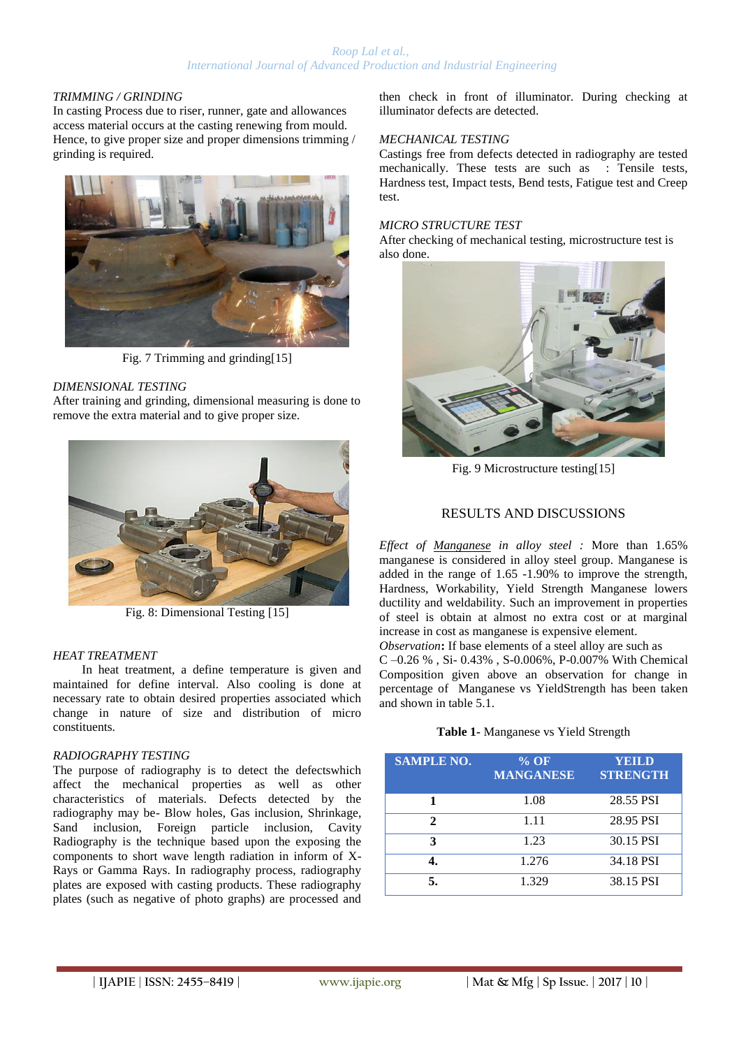## *TRIMMING / GRINDING*

In casting Process due to riser, runner, gate and allowances access material occurs at the casting renewing from mould. Hence, to give proper size and proper dimensions trimming / grinding is required.



Fig. 7 Trimming and grinding[15]

## *DIMENSIONAL TESTING*

After training and grinding, dimensional measuring is done to remove the extra material and to give proper size.



Fig. 8: Dimensional Testing [15]

#### *HEAT TREATMENT*

In heat treatment, a define temperature is given and maintained for define interval. Also cooling is done at necessary rate to obtain desired properties associated which change in nature of size and distribution of micro constituents.

#### *RADIOGRAPHY TESTING*

The purpose of radiography is to detect the defectswhich affect the mechanical properties as well as other characteristics of materials. Defects detected by the radiography may be- Blow holes, Gas inclusion, Shrinkage, Sand inclusion, Foreign particle inclusion, Cavity Radiography is the technique based upon the exposing the components to short wave length radiation in inform of X-Rays or Gamma Rays. In radiography process, radiography plates are exposed with casting products. These radiography plates (such as negative of photo graphs) are processed and

then check in front of illuminator. During checking at illuminator defects are detected.

## *MECHANICAL TESTING*

Castings free from defects detected in radiography are tested mechanically. These tests are such as : Tensile tests, Hardness test, Impact tests, Bend tests, Fatigue test and Creep test.

#### *MICRO STRUCTURE TEST*

After checking of mechanical testing, microstructure test is also done.



Fig. 9 Microstructure testing[15]

## RESULTS AND DISCUSSIONS

*Effect of Manganese in alloy steel :* More than 1.65% manganese is considered in alloy steel group. Manganese is added in the range of 1.65 -1.90% to improve the strength, Hardness, Workability, Yield Strength Manganese lowers ductility and weldability. Such an improvement in properties of steel is obtain at almost no extra cost or at marginal increase in cost as manganese is expensive element.

*Observation***:** If base elements of a steel alloy are such as C –0.26 % , Si- 0.43% , S-0.006%, P-0.007% With Chemical Composition given above an observation for change in percentage of Manganese vs YieldStrength has been taken and shown in table 5.1.

#### **Table 1-** Manganese vs Yield Strength

| <b>SAMPLE NO.</b> | $%$ OF<br><b>MANGANESE</b> | YEILD<br><b>STRENGTH</b> |
|-------------------|----------------------------|--------------------------|
|                   | 1.08                       | 28.55 PSI                |
| 2.                | 1.11                       | 28.95 PSI                |
| 3                 | 1.23                       | 30.15 PSI                |
|                   | 1.276                      | 34.18 PSI                |
|                   | 1.329                      | 38.15 PSI                |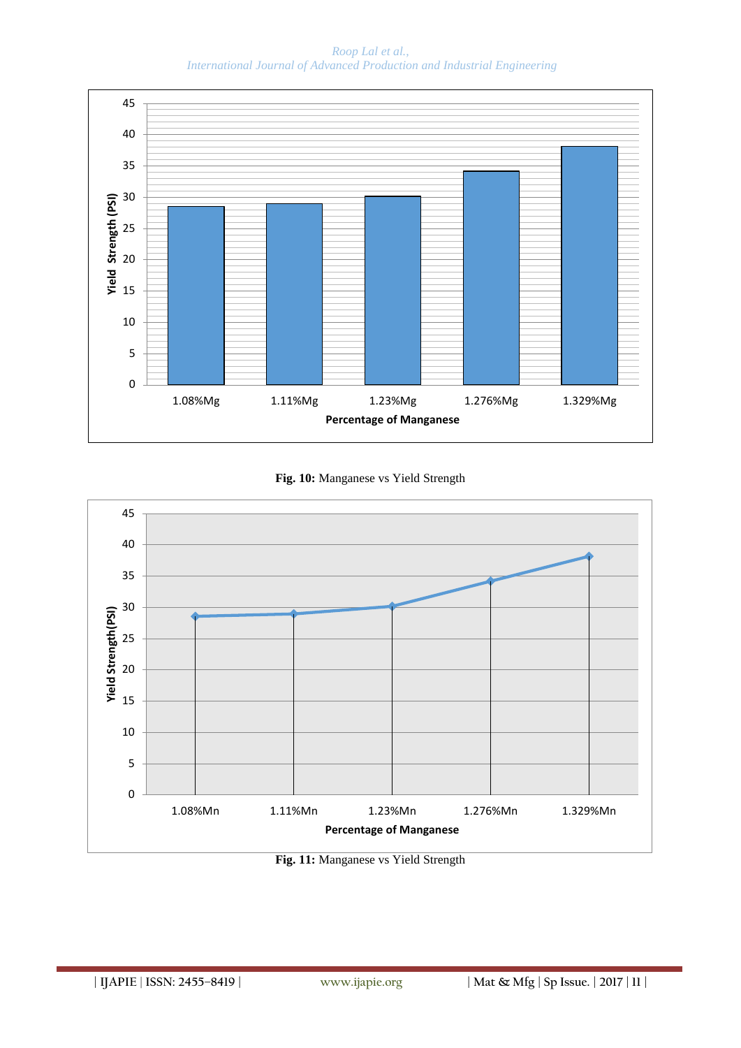

**Fig. 10:** Manganese vs Yield Strength



**Fig. 11:** Manganese vs Yield Strength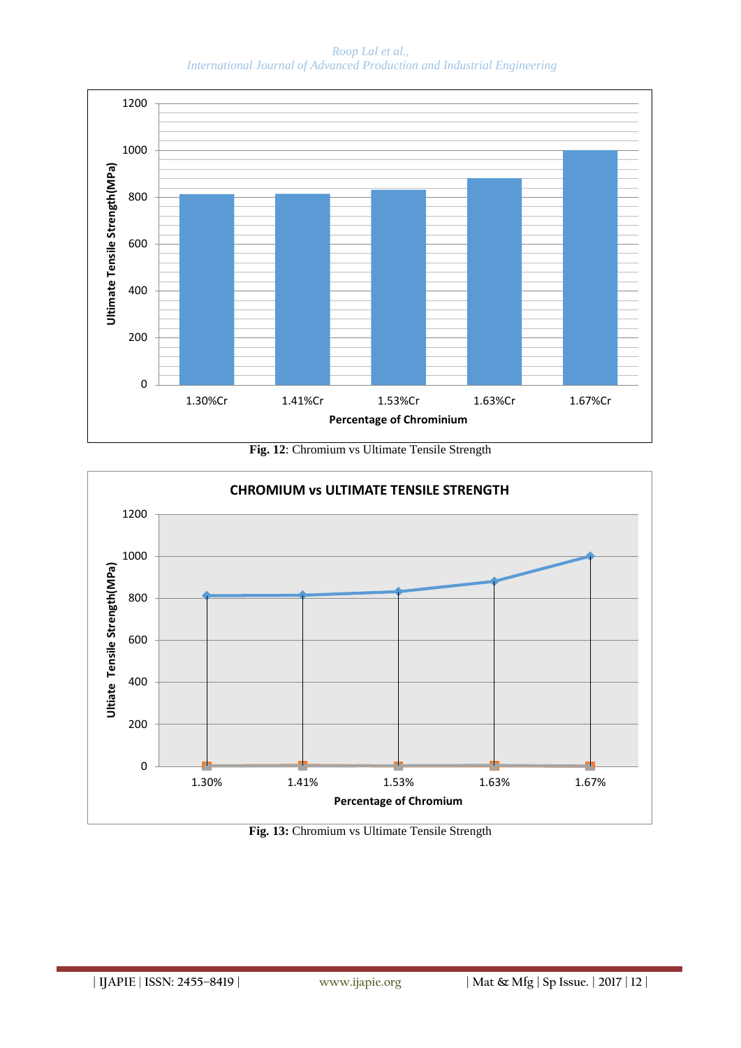

**Fig. 12**: Chromium vs Ultimate Tensile Strength



**Fig. 13:** Chromium vs Ultimate Tensile Strength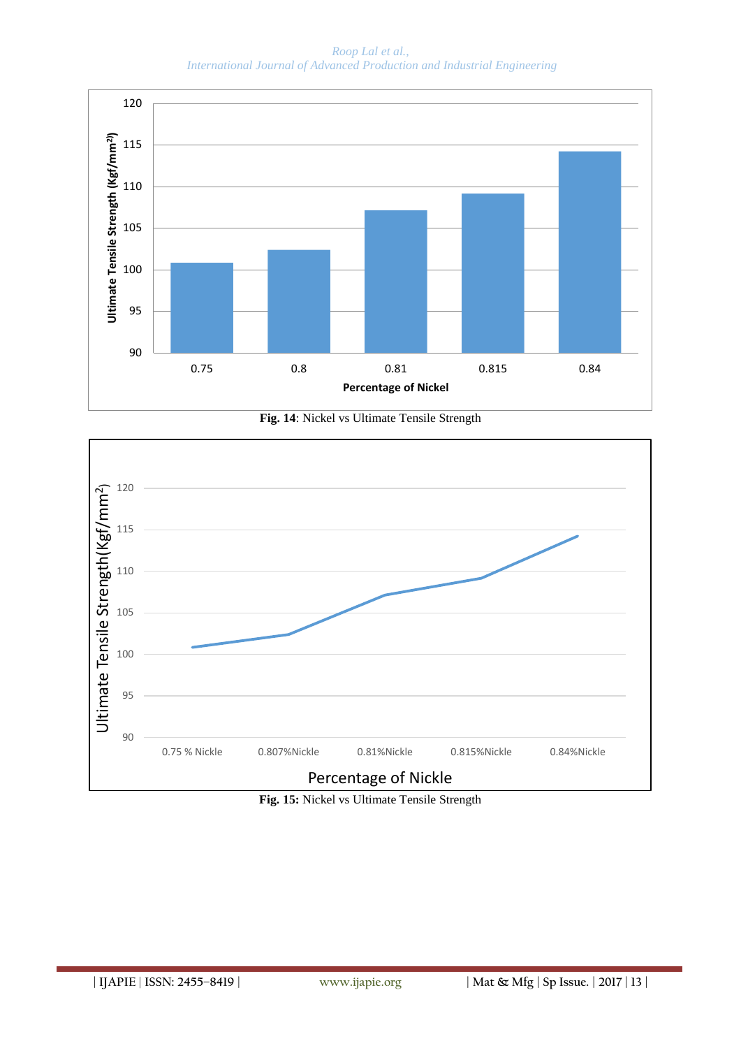

**Fig. 14**: Nickel vs Ultimate Tensile Strength



**Fig. 15:** Nickel vs Ultimate Tensile Strength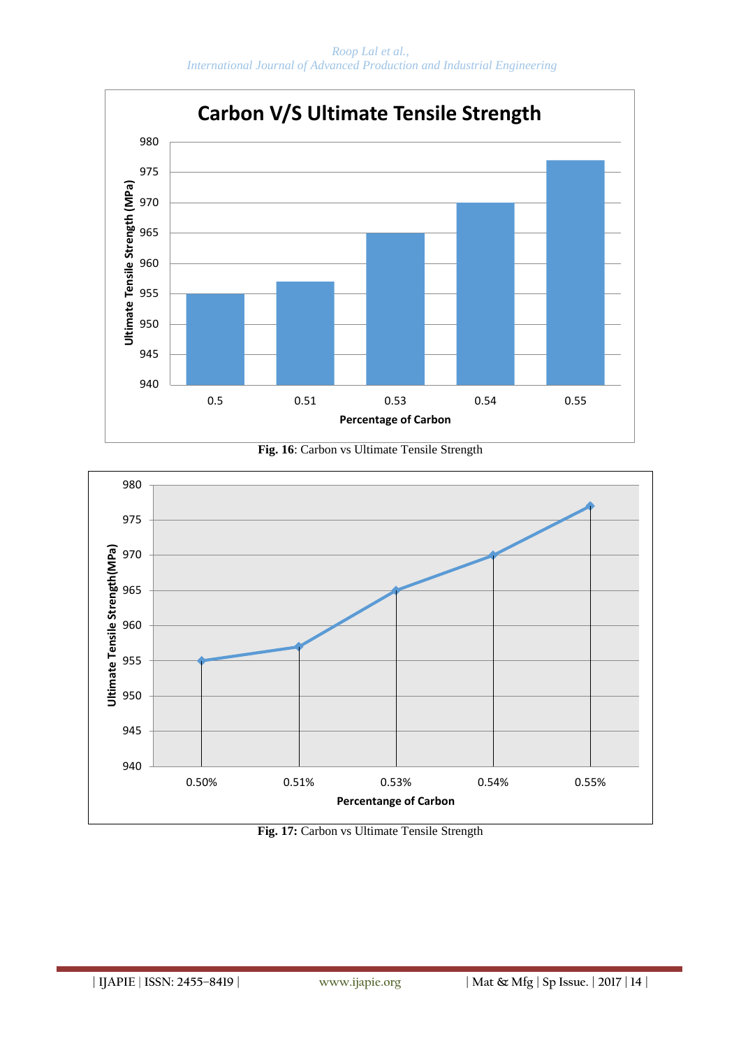





**Fig. 17:** Carbon vs Ultimate Tensile Strength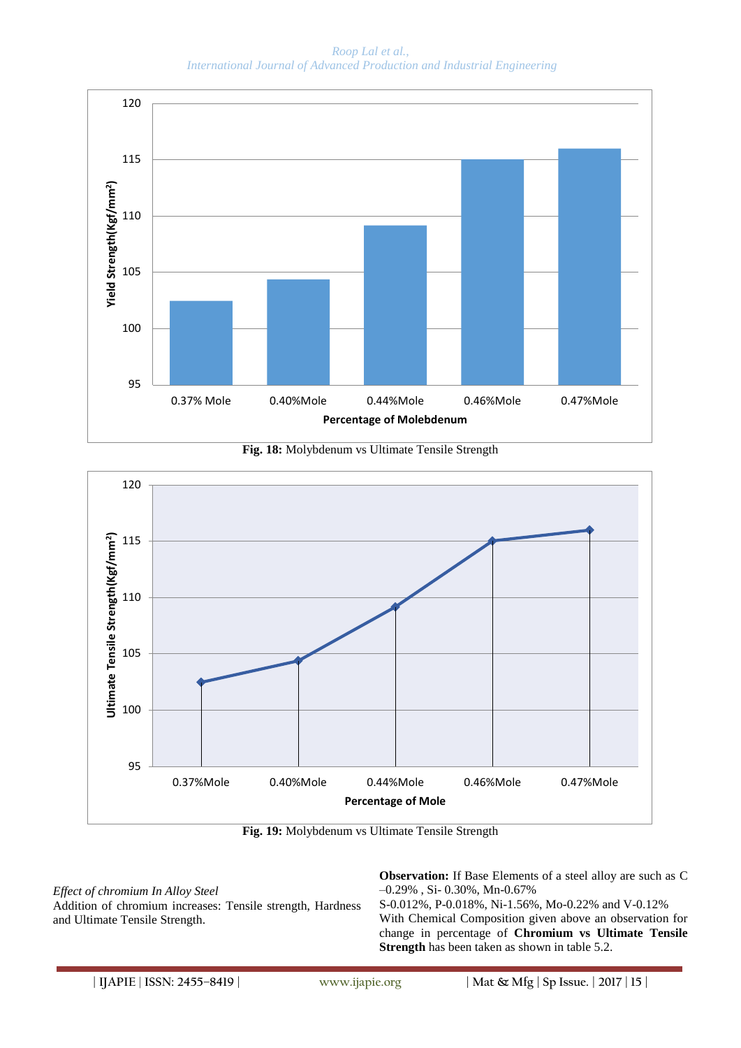





**Fig. 19:** Molybdenum vs Ultimate Tensile Strength

*Effect of chromium In Alloy Steel* Addition of chromium increases: Tensile strength, Hardness and Ultimate Tensile Strength.

**Observation:** If Base Elements of a steel alloy are such as C –0.29% , Si- 0.30%, Mn-0.67% S-0.012%, P-0.018%, Ni-1.56%, Mo-0.22% and V-0.12% With Chemical Composition given above an observation for change in percentage of **Chromium vs Ultimate Tensile** 

**Strength** has been taken as shown in table 5.2.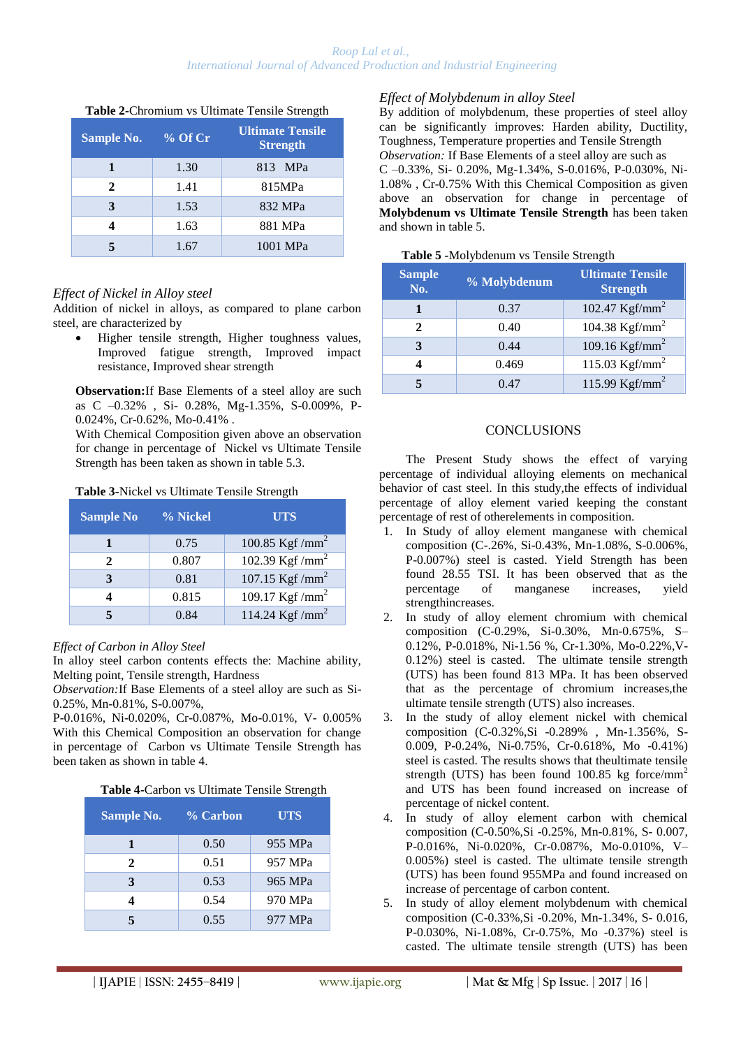| Sample No. | $%$ Of Cr | <b>Ultimate Tensile</b><br><b>Strength</b> |
|------------|-----------|--------------------------------------------|
|            | 1.30      | 813 MPa                                    |
| 2.         | 1.41      | 815MPa                                     |
|            | 1.53      | 832 MPa                                    |
|            | 1.63      | 881 MPa                                    |
|            | 1.67      | 1001 MPa                                   |

#### **Table 2-**Chromium vs Ultimate Tensile Strength

## *Effect of Nickel in Alloy steel*

Addition of nickel in alloys, as compared to plane carbon steel, are characterized by

 Higher tensile strength, Higher toughness values, Improved fatigue strength, Improved impact resistance, Improved shear strength

**Observation:**If Base Elements of a steel alloy are such as C –0.32% , Si- 0.28%, Mg-1.35%, S-0.009%, P-0.024%, Cr-0.62%, Mo-0.41% .

With Chemical Composition given above an observation for change in percentage of Nickel vs Ultimate Tensile Strength has been taken as shown in table 5.3.

| <b>Sample No</b> | % Nickel | <b>UTS</b>          |
|------------------|----------|---------------------|
|                  | 0.75     | 100.85 Kgf / $mm^2$ |
| 2                | 0.807    | 102.39 Kgf / $mm^2$ |
| 3                | 0.81     | 107.15 Kgf / $mm^2$ |
|                  | 0.815    | 109.17 Kgf / $mm^2$ |
|                  | 0.84     | 114.24 Kgf / $mm2$  |

#### **Table 3-**Nickel vs Ultimate Tensile Strength

#### *Effect of Carbon in Alloy Steel*

In alloy steel carbon contents effects the: Machine ability, Melting point, Tensile strength, Hardness

*Observation:*If Base Elements of a steel alloy are such as Si-0.25%, Mn-0.81%, S-0.007%,

P-0.016%, Ni-0.020%, Cr-0.087%, Mo-0.01%, V- 0.005% With this Chemical Composition an observation for change in percentage of Carbon vs Ultimate Tensile Strength has been taken as shown in table 4.

## **Table 4-**Carbon vs Ultimate Tensile Strength

| <b>Sample No.</b> | % Carbon | <b>UTS</b> |
|-------------------|----------|------------|
|                   | 0.50     | 955 MPa    |
| 2                 | 0.51     | 957 MPa    |
| 3                 | 0.53     | 965 MPa    |
|                   | 0.54     | 970 MPa    |
|                   | 0.55     | 977 MPa    |

#### *Effect of Molybdenum in alloy Steel*

By addition of molybdenum, these properties of steel alloy can be significantly improves: Harden ability, Ductility, Toughness, Temperature properties and Tensile Strength *Observation:* If Base Elements of a steel alloy are such as C –0.33%, Si- 0.20%, Mg-1.34%, S-0.016%, P-0.030%, Ni-1.08% , Cr-0.75% With this Chemical Composition as given above an observation for change in percentage of **Molybdenum vs Ultimate Tensile Strength** has been taken and shown in table 5.

#### **Table 5 -**Molybdenum vs Tensile Strength

| <b>Sample</b><br>No. | % Molybdenum | <b>Ultimate Tensile</b><br><b>Strength</b> |
|----------------------|--------------|--------------------------------------------|
|                      | 0.37         | 102.47 $Kgf/mm^2$                          |
| 2                    | 0.40         | 104.38 $Kgf/mm^2$                          |
| 3                    | 0.44         | 109.16 $Kgf/mm^2$                          |
|                      | 0.469        | 115.03 $Kgf/mm^2$                          |
|                      | 0.47         | 115.99 $Kgf/mm^2$                          |

## **CONCLUSIONS**

The Present Study shows the effect of varying percentage of individual alloying elements on mechanical behavior of cast steel. In this study,the effects of individual percentage of alloy element varied keeping the constant percentage of rest of otherelements in composition.

- 1. In Study of alloy element manganese with chemical composition (C-.26%, Si-0.43%, Mn-1.08%, S-0.006%, P-0.007%) steel is casted. Yield Strength has been found 28.55 TSI. It has been observed that as the percentage of manganese increases, yield strengthincreases.
- 2. In study of alloy element chromium with chemical composition (C-0.29%, Si-0.30%, Mn-0.675%, S– 0.12%, P-0.018%, Ni-1.56 %, Cr-1.30%, Mo-0.22%,V-0.12%) steel is casted. The ultimate tensile strength (UTS) has been found 813 MPa. It has been observed that as the percentage of chromium increases,the ultimate tensile strength (UTS) also increases.
- 3. In the study of alloy element nickel with chemical composition (C-0.32%,Si -0.289% , Mn-1.356%, S-0.009, P-0.24%, Ni-0.75%, Cr-0.618%, Mo -0.41%) steel is casted. The results shows that theultimate tensile strength (UTS) has been found 100.85 kg force/mm<sup>2</sup> and UTS has been found increased on increase of percentage of nickel content.
- 4. In study of alloy element carbon with chemical composition (C-0.50%,Si -0.25%, Mn-0.81%, S- 0.007, P-0.016%, Ni-0.020%, Cr-0.087%, Mo-0.010%, V– 0.005%) steel is casted. The ultimate tensile strength (UTS) has been found 955MPa and found increased on increase of percentage of carbon content.
- 5. In study of alloy element molybdenum with chemical composition (C-0.33%,Si -0.20%, Mn-1.34%, S- 0.016, P-0.030%, Ni-1.08%, Cr-0.75%, Mo -0.37%) steel is casted. The ultimate tensile strength (UTS) has been